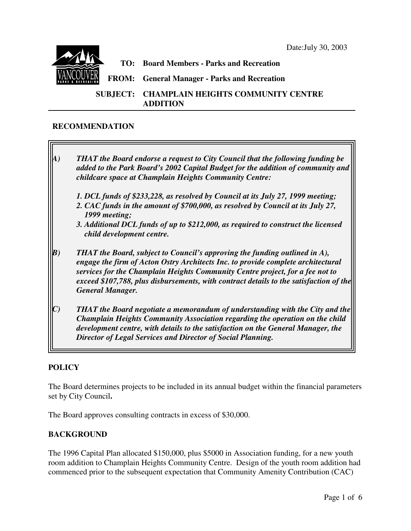

#### **RECOMMENDATION**

- *A) THAT the Board endorse a request to City Council that the following funding be added to the Park Board's 2002 Capital Budget for the addition of community and childcare space at Champlain Heights Community Centre:*
	- *1. DCL funds of \$233,228, as resolved by Council at its July 27, 1999 meeting;*
	- *2. CAC funds in the amount of \$700,000, as resolved by Council at its July 27, 1999 meeting;*
	- *3. Additional DCL funds of up to \$212,000, as required to construct the licensed child development centre.*
- *B) THAT the Board, subject to Council's approving the funding outlined in A), engage the firm of Acton Ostry Architects Inc. to provide complete architectural services for the Champlain Heights Community Centre project, for a fee not to exceed \$107,788, plus disbursements, with contract details to the satisfaction of the General Manager.*
- *C) THAT the Board negotiate a memorandum of understanding with the City and the Champlain Heights Community Association regarding the operation on the child development centre, with details to the satisfaction on the General Manager, the Director of Legal Services and Director of Social Planning.*

#### **POLICY**

The Board determines projects to be included in its annual budget within the financial parameters set by City Council**.**

The Board approves consulting contracts in excess of \$30,000.

#### **BACKGROUND**

The 1996 Capital Plan allocated \$150,000, plus \$5000 in Association funding, for a new youth room addition to Champlain Heights Community Centre. Design of the youth room addition had commenced prior to the subsequent expectation that Community Amenity Contribution (CAC)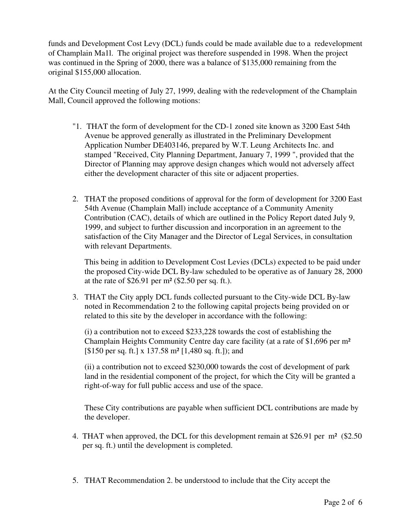funds and Development Cost Levy (DCL) funds could be made available due to a redevelopment of Champlain Ma1l. The original project was therefore suspended in 1998. When the project was continued in the Spring of 2000, there was a balance of \$135,000 remaining from the original \$155,000 allocation.

At the City Council meeting of July 27, 1999, dealing with the redevelopment of the Champlain Mall, Council approved the following motions:

- "1. THAT the form of development for the CD-1 zoned site known as 3200 East 54th Avenue be approved generally as illustrated in the Preliminary Development Application Number DE403146, prepared by W.T. Leung Architects Inc. and stamped "Received, City Planning Department, January 7, 1999 ", provided that the Director of Planning may approve design changes which would not adversely affect either the development character of this site or adjacent properties.
- 2. THAT the proposed conditions of approval for the form of development for 3200 East 54th Avenue (Champlain Mall) include acceptance of a Community Amenity Contribution (CAC), details of which are outlined in the Policy Report dated July 9, 1999, and subject to further discussion and incorporation in an agreement to the satisfaction of the City Manager and the Director of Legal Services, in consultation with relevant Departments.

This being in addition to Development Cost Levies (DCLs) expected to be paid under the proposed City-wide DCL By-law scheduled to be operative as of January 28, 2000 at the rate of  $$26.91$  per m<sup>2</sup> ( $$2.50$  per sq. ft.).

3. THAT the City apply DCL funds collected pursuant to the City-wide DCL By-law noted in Recommendation 2 to the following capital projects being provided on or related to this site by the developer in accordance with the following:

(i) a contribution not to exceed \$233,228 towards the cost of establishing the Champlain Heights Community Centre day care facility (at a rate of \$1,696 per m² [\$150 per sq. ft.] x 137.58 m² [1,480 sq. ft.]); and

(ii) a contribution not to exceed \$230,000 towards the cost of development of park land in the residential component of the project, for which the City will be granted a right-of-way for full public access and use of the space.

These City contributions are payable when sufficient DCL contributions are made by the developer.

- 4. THAT when approved, the DCL for this development remain at \$26.91 per m² (\$2.50 per sq. ft.) until the development is completed.
- 5. THAT Recommendation 2. be understood to include that the City accept the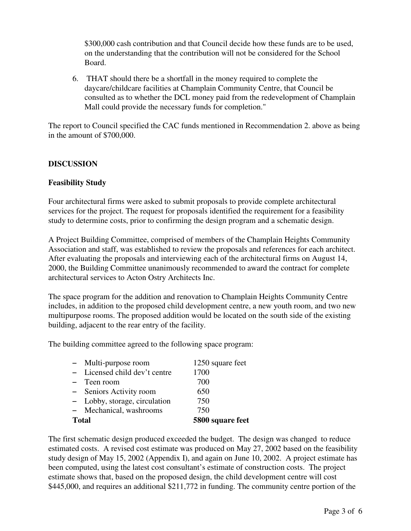\$300,000 cash contribution and that Council decide how these funds are to be used, on the understanding that the contribution will not be considered for the School Board.

6. THAT should there be a shortfall in the money required to complete the daycare/childcare facilities at Champlain Community Centre, that Council be consulted as to whether the DCL money paid from the redevelopment of Champlain Mall could provide the necessary funds for completion."

The report to Council specified the CAC funds mentioned in Recommendation 2. above as being in the amount of \$700,000.

## **DISCUSSION**

#### **Feasibility Study**

Four architectural firms were asked to submit proposals to provide complete architectural services for the project. The request for proposals identified the requirement for a feasibility study to determine costs, prior to confirming the design program and a schematic design.

A Project Building Committee, comprised of members of the Champlain Heights Community Association and staff, was established to review the proposals and references for each architect. After evaluating the proposals and interviewing each of the architectural firms on August 14, 2000, the Building Committee unanimously recommended to award the contract for complete architectural services to Acton Ostry Architects Inc.

The space program for the addition and renovation to Champlain Heights Community Centre includes, in addition to the proposed child development centre, a new youth room, and two new multipurpose rooms. The proposed addition would be located on the south side of the existing building, adjacent to the rear entry of the facility.

The building committee agreed to the following space program:

|              | - Multi-purpose room          | 1250 square feet |
|--------------|-------------------------------|------------------|
|              | - Licensed child dev't centre | 1700             |
|              | - Teen room                   | 700              |
|              | - Seniors Activity room       | 650              |
|              | - Lobby, storage, circulation | 750              |
|              | - Mechanical, washrooms       | 750              |
| <b>Total</b> |                               | 5800 square feet |

The first schematic design produced exceeded the budget. The design was changed to reduce estimated costs. A revised cost estimate was produced on May 27, 2002 based on the feasibility study design of May 15, 2002 (Appendix I), and again on June 10, 2002. A project estimate has been computed, using the latest cost consultant's estimate of construction costs. The project estimate shows that, based on the proposed design, the child development centre will cost \$445,000, and requires an additional \$211,772 in funding. The community centre portion of the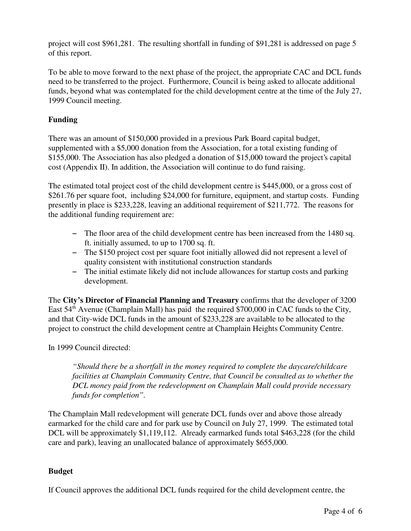project will cost \$961,281. The resulting shortfall in funding of \$91,281 is addressed on page 5 of this report.

To be able to move forward to the next phase of the project, the appropriate CAC and DCL funds need to be transferred to the project. Furthermore, Council is being asked to allocate additional funds, beyond what was contemplated for the child development centre at the time of the July 27, 1999 Council meeting.

# **Funding**

There was an amount of \$150,000 provided in a previous Park Board capital budget, supplemented with a \$5,000 donation from the Association, for a total existing funding of \$155,000. The Association has also pledged a donation of \$15,000 toward the project's capital cost (Appendix II). In addition, the Association will continue to do fund raising.

The estimated total project cost of the child development centre is \$445,000, or a gross cost of \$261.76 per square foot, including \$24,000 for furniture, equipment, and startup costs. Funding presently in place is \$233,228, leaving an additional requirement of \$211,772. The reasons for the additional funding requirement are:

- 6 The floor area of the child development centre has been increased from the 1480 sq. ft. initially assumed, to up to 1700 sq. ft.
- 6 The \$150 project cost per square foot initially allowed did not represent a level of quality consistent with institutional construction standards
- 6 The initial estimate likely did not include allowances for startup costs and parking development.

The **City's Director of Financial Planning and Treasury** confirms that the developer of 3200 East  $54<sup>th</sup>$  Avenue (Champlain Mall) has paid the required \$700,000 in CAC funds to the City, and that City-wide DCL funds in the amount of \$233,228 are available to be allocated to the project to construct the child development centre at Champlain Heights Community Centre.

In 1999 Council directed:

*"Should there be a shortfall in the money required to complete the daycare/childcare facilities at Champlain Community Centre, that Council be consulted as to whether the DCL money paid from the redevelopment on Champlain Mall could provide necessary funds for completion".*

The Champlain Mall redevelopment will generate DCL funds over and above those already earmarked for the child care and for park use by Council on July 27, 1999. The estimated total DCL will be approximately \$1,119,112. Already earmarked funds total \$463,228 (for the child care and park), leaving an unallocated balance of approximately \$655,000.

## **Budget**

If Council approves the additional DCL funds required for the child development centre, the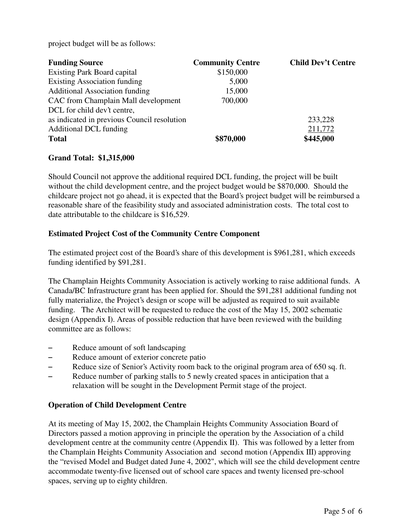project budget will be as follows:

| <b>Funding Source</b>                       | <b>Community Centre</b> | <b>Child Dev't Centre</b> |
|---------------------------------------------|-------------------------|---------------------------|
| <b>Existing Park Board capital</b>          | \$150,000               |                           |
| <b>Existing Association funding</b>         | 5,000                   |                           |
| <b>Additional Association funding</b>       | 15,000                  |                           |
| CAC from Champlain Mall development         | 700,000                 |                           |
| DCL for child dev't centre,                 |                         |                           |
| as indicated in previous Council resolution |                         | 233,228                   |
| <b>Additional DCL funding</b>               |                         | 211,772                   |
| <b>Total</b>                                | \$870,000               | \$445,000                 |

### **Grand Total: \$1,315,000**

Should Council not approve the additional required DCL funding, the project will be built without the child development centre, and the project budget would be \$870,000. Should the childcare project not go ahead, it is expected that the Board's project budget will be reimbursed a reasonable share of the feasibility study and associated administration costs. The total cost to date attributable to the childcare is \$16,529.

### **Estimated Project Cost of the Community Centre Component**

The estimated project cost of the Board's share of this development is \$961,281, which exceeds funding identified by \$91,281.

The Champlain Heights Community Association is actively working to raise additional funds. A Canada/BC Infrastructure grant has been applied for. Should the \$91,281 additional funding not fully materialize, the Project's design or scope will be adjusted as required to suit available funding. The Architect will be requested to reduce the cost of the May 15, 2002 schematic design (Appendix I). Areas of possible reduction that have been reviewed with the building committee are as follows:

- Reduce amount of soft landscaping
- Reduce amount of exterior concrete patio
- Reduce size of Senior's Activity room back to the original program area of 650 sq. ft.
- Reduce number of parking stalls to 5 newly created spaces in anticipation that a relaxation will be sought in the Development Permit stage of the project.

## **Operation of Child Development Centre**

At its meeting of May 15, 2002, the Champlain Heights Community Association Board of Directors passed a motion approving in principle the operation by the Association of a child development centre at the community centre (Appendix II). This was followed by a letter from the Champlain Heights Community Association and second motion (Appendix III) approving the "revised Model and Budget dated June 4, 2002", which will see the child development centre accommodate twenty-five licensed out of school care spaces and twenty licensed pre-school spaces, serving up to eighty children.